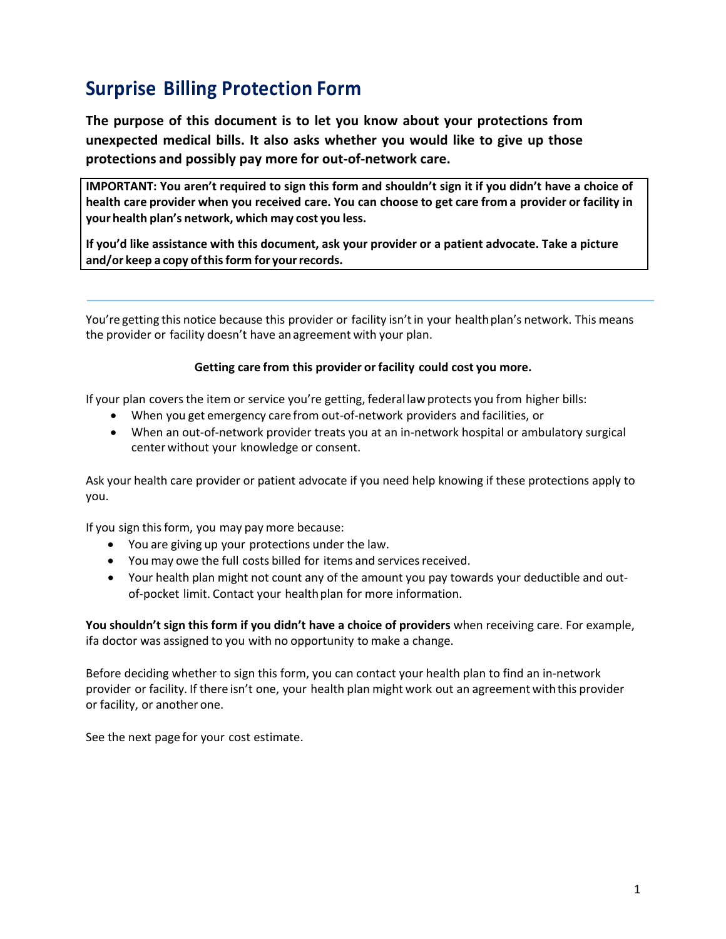# **Surprise Billing Protection Form**

**The purpose of this document is to let you know about your protections from unexpected medical bills. It also asks whether you would like to give up those protections and possibly pay more for out-of-network care.**

**IMPORTANT: You aren't required to sign this form and shouldn't sign it if you didn't have a choice of health care provider when you received care. You can choose to get care from a provider or facility in your health plan's network, which may cost you less.**

**If you'd like assistance with this document, ask your provider or a patient advocate. Take a picture and/or keep a copy ofthisform for yourrecords.**

You're getting this notice because this provider or facility isn't in your health plan's network. This means the provider or facility doesn't have anagreement with your plan.

#### **Getting care from this provider or facility could cost you more.**

If your plan covers the item or service you're getting, federal law protects you from higher bills:

- When you get emergency care from out-of-network providers and facilities, or
- When an out-of-network provider treats you at an in-network hospital or ambulatory surgical center without your knowledge or consent.

Ask your health care provider or patient advocate if you need help knowing if these protections apply to you.

If you sign this form, you may pay more because:

- You are giving up your protections under the law.
- You may owe the full costs billed for items and services received.
- Your health plan might not count any of the amount you pay towards your deductible and outof-pocket limit. Contact your health plan for more information.

**You shouldn't sign this form if you didn't have a choice of providers** when receiving care. For example, ifa doctor was assigned to you with no opportunity to make a change.

Before deciding whether to sign this form, you can contact your health plan to find an in-network provider or facility. If there isn't one, your health plan might work out an agreement withthis provider or facility, or another one.

See the next page for your cost estimate.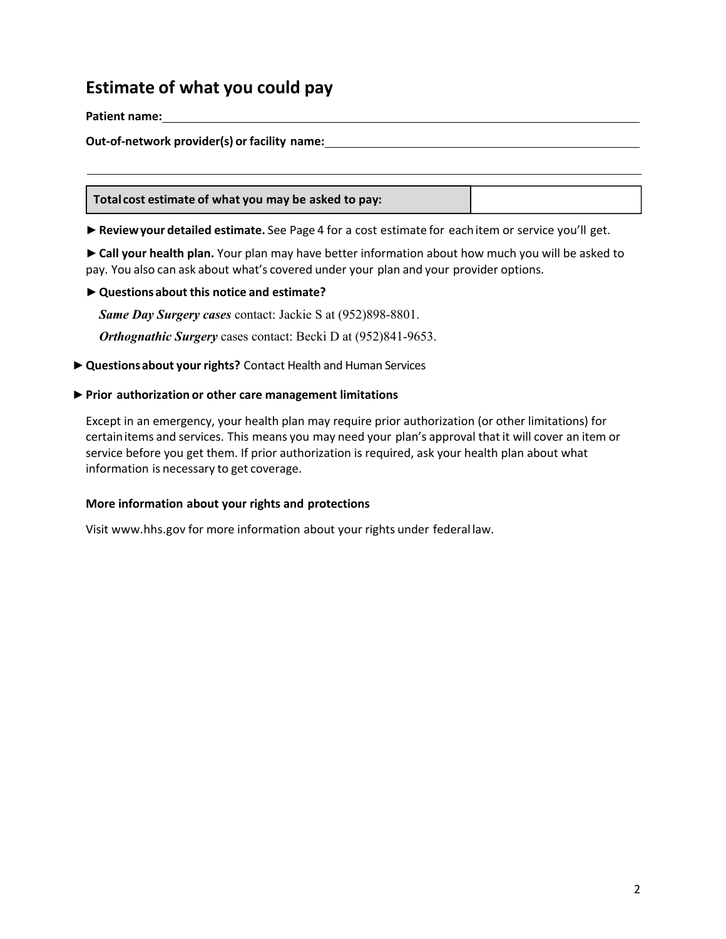## **Estimate of what you could pay**

#### **Patient name:**

#### **Out-of-network provider(s) or facility name:**

**Total cost estimate of what you may be asked to pay:**

**►Reviewyour detailed estimate.** See Page 4 for a cost estimate for eachitem or service you'll get.

**►Call your health plan.** Your plan may have better information about how much you will be asked to pay. You also can ask about what's covered under your plan and your provider options.

#### **►Questions about this notice and estimate?**

*Same Day Surgery cases* contact: Jackie S at (952)898-8801.

*Orthognathic Surgery* cases contact: Becki D at (952)841-9653.

▶ Questions about your rights? Contact Health and Human Services

#### **►Prior authorization or other care management limitations**

Except in an emergency, your health plan may require prior authorization (or other limitations) for certainitems and services. This means you may need your plan's approval that it will cover an item or service before you get them. If prior authorization is required, ask your health plan about what information is necessary to get coverage.

#### **More information about your rights and protections**

Visit www.hhs.gov for more information about your rights under federal law.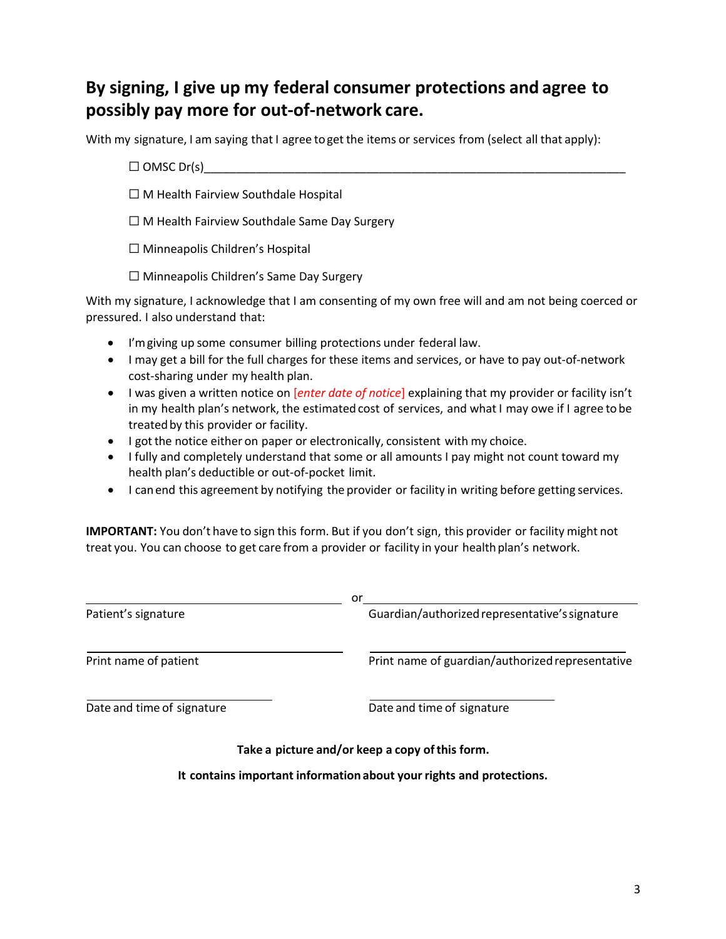## **By signing, I give up my federal consumer protections and agree to possibly pay more for out-of-network care.**

With my signature, I am saying that I agree to get the items or services from (select all that apply):

- ☐ OMSC Dr(s)\_\_\_\_\_\_\_\_\_\_\_\_\_\_\_\_\_\_\_\_\_\_\_\_\_\_\_\_\_\_\_\_\_\_\_\_\_\_\_\_\_\_\_\_\_\_\_\_\_\_\_\_\_\_\_\_\_\_\_\_\_\_\_\_\_
- ☐ M Health Fairview Southdale Hospital
- ☐ M Health Fairview Southdale Same Day Surgery

☐ Minneapolis Children's Hospital

☐ Minneapolis Children's Same Day Surgery

With my signature, I acknowledge that I am consenting of my own free will and am not being coerced or pressured. I also understand that:

- I'mgiving up some consumer billing protections under federal law.
- I may get a bill for the full charges for these items and services, or have to pay out-of-network cost-sharing under my health plan.
- I was given a written notice on [*enter date of notice*] explaining that my provider or facility isn't in my health plan's network, the estimated cost of services, and what I may owe if I agree to be treatedby this provider or facility.
- I got the notice either on paper or electronically, consistent with my choice.
- I fully and completely understand that some or all amounts I pay might not count toward my health plan's deductible or out-of-pocket limit.
- I canend this agreement by notifying the provider or facility in writing before getting services.

**IMPORTANT:** You don't have to sign this form. But if you don't sign, this provider or facility might not treat you. You can choose to get care from a provider or facility in your health plan's network.

|                            | or                                                                   |
|----------------------------|----------------------------------------------------------------------|
| Patient's signature        | Guardian/authorized representative's signature                       |
| Print name of patient      | Print name of guardian/authorized representative                     |
| Date and time of signature | Date and time of signature                                           |
|                            | Take a picture and/or keep a copy of this form.                      |
|                            | It contains important information about your rights and protections. |